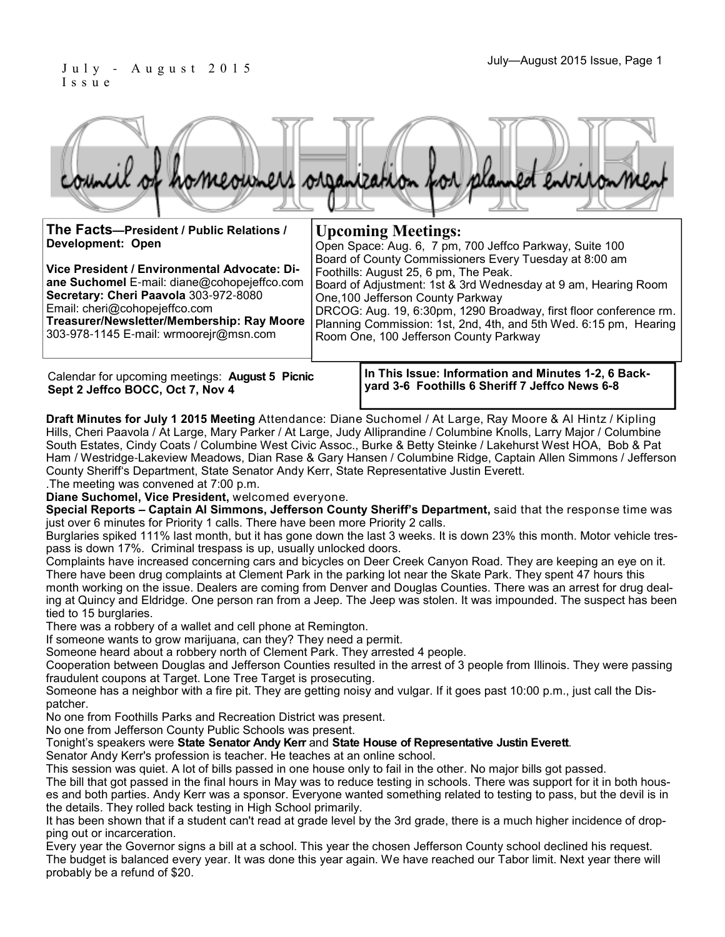

**Upcoming Meetings:**

Foothills: August 25, 6 pm, The Peak.

Room One, 100 Jefferson County Parkway

One,100 Jefferson County Parkway

**The Facts—President / Public Relations / Development: Open**

**Vice President / Environmental Advocate: Diane Suchomel** E-mail: diane@cohopejeffco.com **Secretary: Cheri Paavola** 303-972-8080 Email: cheri@cohopejeffco.com **Treasurer/Newsletter/Membership: Ray Moore**  303-978-1145 E-mail: wrmoorejr@msn.com

Calendar for upcoming meetings: **August 5 Picnic Sept 2 Jeffco BOCC, Oct 7, Nov 4**

**In This Issue: Information and Minutes 1-2, 6 Backyard 3-6 Foothills 6 Sheriff 7 Jeffco News 6-8**

Open Space: Aug. 6, 7 pm, 700 Jeffco Parkway, Suite 100 Board of County Commissioners Every Tuesday at 8:00 am

Board of Adjustment: 1st & 3rd Wednesday at 9 am, Hearing Room

DRCOG: Aug. 19, 6:30pm, 1290 Broadway, first floor conference rm. Planning Commission: 1st, 2nd, 4th, and 5th Wed. 6:15 pm, Hearing

**Draft Minutes for July 1 2015 Meeting** Attendance: Diane Suchomel / At Large, Ray Moore & Al Hintz / Kipling Hills, Cheri Paavola / At Large, Mary Parker / At Large, Judy Alliprandine / Columbine Knolls, Larry Major / Columbine South Estates, Cindy Coats / Columbine West Civic Assoc., Burke & Betty Steinke / Lakehurst West HOA, Bob & Pat Ham / Westridge-Lakeview Meadows, Dian Rase & Gary Hansen / Columbine Ridge, Captain Allen Simmons / Jefferson County Sheriff's Department, State Senator Andy Kerr, State Representative Justin Everett.

.The meeting was convened at 7:00 p.m.

**Diane Suchomel, Vice President,** welcomed everyone.

**Special Reports – Captain Al Simmons, Jefferson County Sheriff's Department,** said that the response time was just over 6 minutes for Priority 1 calls. There have been more Priority 2 calls.

Burglaries spiked 111% last month, but it has gone down the last 3 weeks. It is down 23% this month. Motor vehicle trespass is down 17%. Criminal trespass is up, usually unlocked doors.

Complaints have increased concerning cars and bicycles on Deer Creek Canyon Road. They are keeping an eye on it. There have been drug complaints at Clement Park in the parking lot near the Skate Park. They spent 47 hours this month working on the issue. Dealers are coming from Denver and Douglas Counties. There was an arrest for drug dealing at Quincy and Eldridge. One person ran from a Jeep. The Jeep was stolen. It was impounded. The suspect has been tied to 15 burglaries.

There was a robbery of a wallet and cell phone at Remington.

If someone wants to grow marijuana, can they? They need a permit.

Someone heard about a robbery north of Clement Park. They arrested 4 people.

Cooperation between Douglas and Jefferson Counties resulted in the arrest of 3 people from Illinois. They were passing fraudulent coupons at Target. Lone Tree Target is prosecuting.

Someone has a neighbor with a fire pit. They are getting noisy and vulgar. If it goes past 10:00 p.m., just call the Dispatcher.

No one from Foothills Parks and Recreation District was present.

No one from Jefferson County Public Schools was present.

Tonight's speakers were **State Senator Andy Kerr** and **State House of Representative Justin Everett**.

Senator Andy Kerr's profession is teacher. He teaches at an online school.

This session was quiet. A lot of bills passed in one house only to fail in the other. No major bills got passed.

The bill that got passed in the final hours in May was to reduce testing in schools. There was support for it in both houses and both parties. Andy Kerr was a sponsor. Everyone wanted something related to testing to pass, but the devil is in the details. They rolled back testing in High School primarily.

It has been shown that if a student can't read at grade level by the 3rd grade, there is a much higher incidence of dropping out or incarceration.

Every year the Governor signs a bill at a school. This year the chosen Jefferson County school declined his request. The budget is balanced every year. It was done this year again. We have reached our Tabor limit. Next year there will probably be a refund of \$20.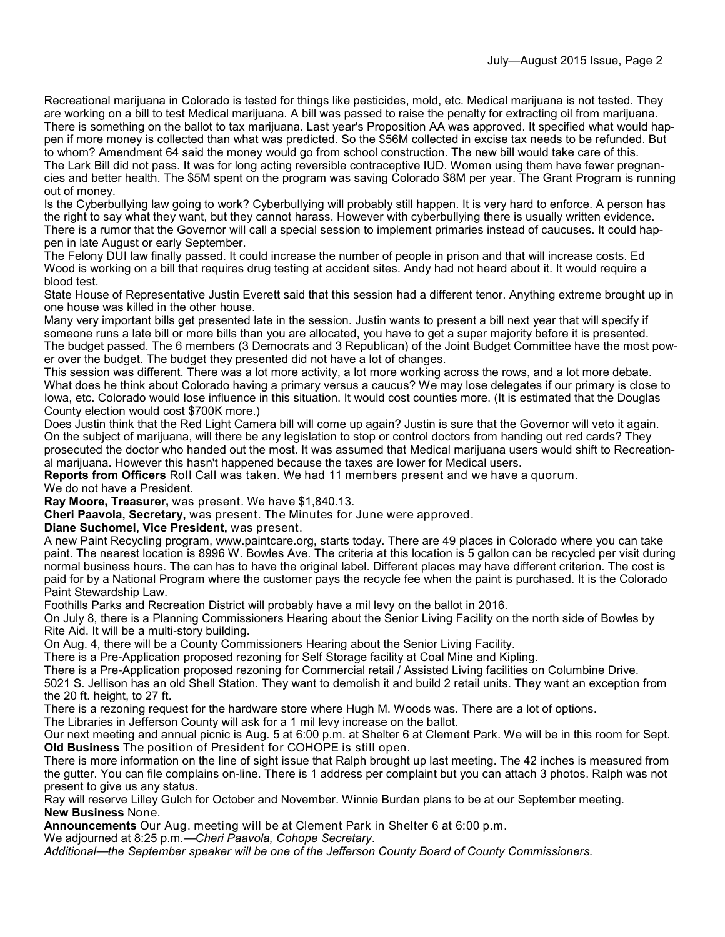Recreational marijuana in Colorado is tested for things like pesticides, mold, etc. Medical marijuana is not tested. They are working on a bill to test Medical marijuana. A bill was passed to raise the penalty for extracting oil from marijuana. There is something on the ballot to tax marijuana. Last year's Proposition AA was approved. It specified what would happen if more money is collected than what was predicted. So the \$56M collected in excise tax needs to be refunded. But to whom? Amendment 64 said the money would go from school construction. The new bill would take care of this. The Lark Bill did not pass. It was for long acting reversible contraceptive IUD. Women using them have fewer pregnancies and better health. The \$5M spent on the program was saving Colorado \$8M per year. The Grant Program is running out of money.

Is the Cyberbullying law going to work? Cyberbullying will probably still happen. It is very hard to enforce. A person has the right to say what they want, but they cannot harass. However with cyberbullying there is usually written evidence. There is a rumor that the Governor will call a special session to implement primaries instead of caucuses. It could happen in late August or early September.

The Felony DUI law finally passed. It could increase the number of people in prison and that will increase costs. Ed Wood is working on a bill that requires drug testing at accident sites. Andy had not heard about it. It would require a blood test.

State House of Representative Justin Everett said that this session had a different tenor. Anything extreme brought up in one house was killed in the other house.

Many very important bills get presented late in the session. Justin wants to present a bill next year that will specify if someone runs a late bill or more bills than you are allocated, you have to get a super majority before it is presented. The budget passed. The 6 members (3 Democrats and 3 Republican) of the Joint Budget Committee have the most power over the budget. The budget they presented did not have a lot of changes.

This session was different. There was a lot more activity, a lot more working across the rows, and a lot more debate. What does he think about Colorado having a primary versus a caucus? We may lose delegates if our primary is close to Iowa, etc. Colorado would lose influence in this situation. It would cost counties more. (It is estimated that the Douglas County election would cost \$700K more.)

Does Justin think that the Red Light Camera bill will come up again? Justin is sure that the Governor will veto it again. On the subject of marijuana, will there be any legislation to stop or control doctors from handing out red cards? They prosecuted the doctor who handed out the most. It was assumed that Medical marijuana users would shift to Recreational marijuana. However this hasn't happened because the taxes are lower for Medical users.

**Reports from Officers** Roll Call was taken. We had 11 members present and we have a quorum.

We do not have a President.

**Ray Moore, Treasurer,** was present. We have \$1,840.13.

**Cheri Paavola, Secretary,** was present. The Minutes for June were approved.

**Diane Suchomel, Vice President,** was present.

A new Paint Recycling program, www.paintcare.org, starts today. There are 49 places in Colorado where you can take paint. The nearest location is 8996 W. Bowles Ave. The criteria at this location is 5 gallon can be recycled per visit during normal business hours. The can has to have the original label. Different places may have different criterion. The cost is paid for by a National Program where the customer pays the recycle fee when the paint is purchased. It is the Colorado Paint Stewardship Law.

Foothills Parks and Recreation District will probably have a mil levy on the ballot in 2016.

On July 8, there is a Planning Commissioners Hearing about the Senior Living Facility on the north side of Bowles by Rite Aid. It will be a multi-story building.

On Aug. 4, there will be a County Commissioners Hearing about the Senior Living Facility.

There is a Pre-Application proposed rezoning for Self Storage facility at Coal Mine and Kipling.

There is a Pre-Application proposed rezoning for Commercial retail / Assisted Living facilities on Columbine Drive.

5021 S. Jellison has an old Shell Station. They want to demolish it and build 2 retail units. They want an exception from the 20 ft. height, to 27 ft.

There is a rezoning request for the hardware store where Hugh M. Woods was. There are a lot of options.

The Libraries in Jefferson County will ask for a 1 mil levy increase on the ballot.

Our next meeting and annual picnic is Aug. 5 at 6:00 p.m. at Shelter 6 at Clement Park. We will be in this room for Sept. **Old Business** The position of President for COHOPE is still open.

There is more information on the line of sight issue that Ralph brought up last meeting. The 42 inches is measured from the gutter. You can file complains on-line. There is 1 address per complaint but you can attach 3 photos. Ralph was not present to give us any status.

Ray will reserve Lilley Gulch for October and November. Winnie Burdan plans to be at our September meeting. **New Business** None.

**Announcements** Our Aug. meeting will be at Clement Park in Shelter 6 at 6:00 p.m.

We adjourned at 8:25 p.m*.*—*Cheri Paavola, Cohope Secretary*.

*Additional*—*the September speaker will be one of the Jefferson County Board of County Commissioners.*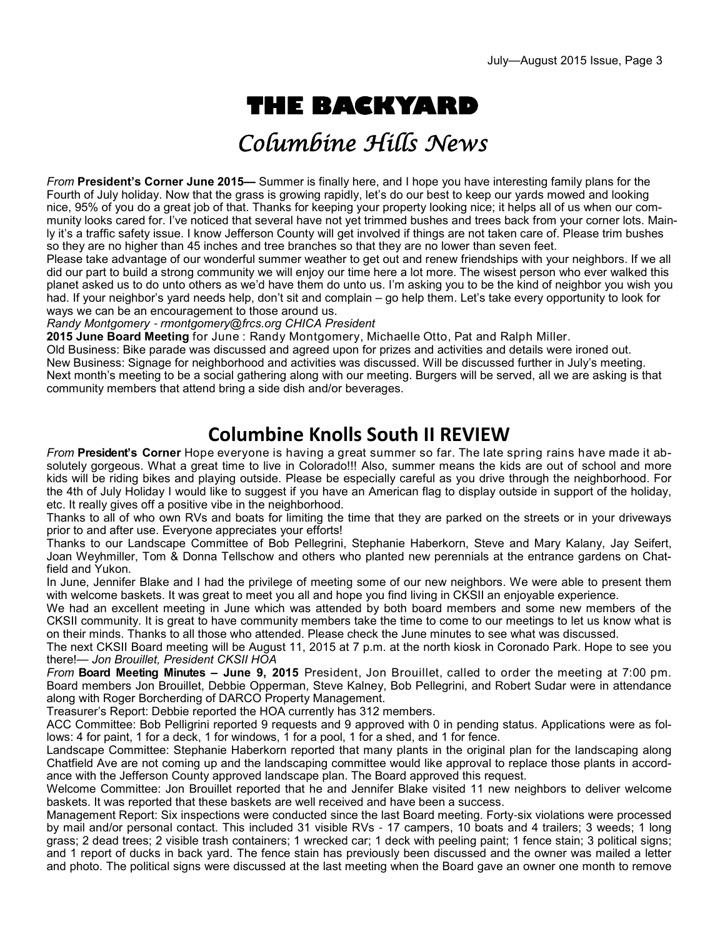# **THE BACKYARD**

## Columbine Hills News

*From* **President's Corner June 2015—** Summer is finally here, and I hope you have interesting family plans for the Fourth of July holiday. Now that the grass is growing rapidly, let's do our best to keep our yards mowed and looking nice, 95% of you do a great job of that. Thanks for keeping your property looking nice; it helps all of us when our community looks cared for. I've noticed that several have not yet trimmed bushes and trees back from your corner lots. Mainly it's a traffic safety issue. I know Jefferson County will get involved if things are not taken care of. Please trim bushes so they are no higher than 45 inches and tree branches so that they are no lower than seven feet.

Please take advantage of our wonderful summer weather to get out and renew friendships with your neighbors. If we all did our part to build a strong community we will enjoy our time here a lot more. The wisest person who ever walked this planet asked us to do unto others as we'd have them do unto us. I'm asking you to be the kind of neighbor you wish you had. If your neighbor's yard needs help, don't sit and complain – go help them. Let's take every opportunity to look for ways we can be an encouragement to those around us.

*Randy Montgomery* - *rmontgomery@frcs.org CHICA President*

**2015 June Board Meeting** for June : Randy Montgomery, Michaelle Otto, Pat and Ralph Miller.

Old Business: Bike parade was discussed and agreed upon for prizes and activities and details were ironed out. New Business: Signage for neighborhood and activities was discussed. Will be discussed further in July's meeting. Next month's meeting to be a social gathering along with our meeting. Burgers will be served, all we are asking is that community members that attend bring a side dish and/or beverages.

### **Columbine Knolls South II REVIEW**

*From* **President's Corner** Hope everyone is having a great summer so far. The late spring rains have made it absolutely gorgeous. What a great time to live in Colorado!!! Also, summer means the kids are out of school and more kids will be riding bikes and playing outside. Please be especially careful as you drive through the neighborhood. For the 4th of July Holiday I would like to suggest if you have an American flag to display outside in support of the holiday, etc. It really gives off a positive vibe in the neighborhood.

Thanks to all of who own RVs and boats for limiting the time that they are parked on the streets or in your driveways prior to and after use. Everyone appreciates your efforts!

Thanks to our Landscape Committee of Bob Pellegrini, Stephanie Haberkorn, Steve and Mary Kalany, Jay Seifert, Joan Weyhmiller, Tom & Donna Tellschow and others who planted new perennials at the entrance gardens on Chatfield and Yukon.

In June, Jennifer Blake and I had the privilege of meeting some of our new neighbors. We were able to present them with welcome baskets. It was great to meet you all and hope you find living in CKSII an enjoyable experience.

We had an excellent meeting in June which was attended by both board members and some new members of the CKSII community. It is great to have community members take the time to come to our meetings to let us know what is on their minds. Thanks to all those who attended. Please check the June minutes to see what was discussed.

The next CKSII Board meeting will be August 11, 2015 at 7 p.m. at the north kiosk in Coronado Park. Hope to see you there!— *Jon Brouillet, President CKSII HOA*

*From* **Board Meeting Minutes – June 9, 2015** President, Jon Brouillet, called to order the meeting at 7:00 pm. Board members Jon Brouillet, Debbie Opperman, Steve Kalney, Bob Pellegrini, and Robert Sudar were in attendance along with Roger Borcherding of DARCO Property Management.

Treasurer's Report: Debbie reported the HOA currently has 312 members.

ACC Committee: Bob Pelligrini reported 9 requests and 9 approved with 0 in pending status. Applications were as follows: 4 for paint, 1 for a deck, 1 for windows, 1 for a pool, 1 for a shed, and 1 for fence.

Landscape Committee: Stephanie Haberkorn reported that many plants in the original plan for the landscaping along Chatfield Ave are not coming up and the landscaping committee would like approval to replace those plants in accordance with the Jefferson County approved landscape plan. The Board approved this request.

Welcome Committee: Jon Brouillet reported that he and Jennifer Blake visited 11 new neighbors to deliver welcome baskets. It was reported that these baskets are well received and have been a success.

Management Report: Six inspections were conducted since the last Board meeting. Forty-six violations were processed by mail and/or personal contact. This included 31 visible RVs - 17 campers, 10 boats and 4 trailers; 3 weeds; 1 long grass; 2 dead trees; 2 visible trash containers; 1 wrecked car; 1 deck with peeling paint; 1 fence stain; 3 political signs; and 1 report of ducks in back yard. The fence stain has previously been discussed and the owner was mailed a letter and photo. The political signs were discussed at the last meeting when the Board gave an owner one month to remove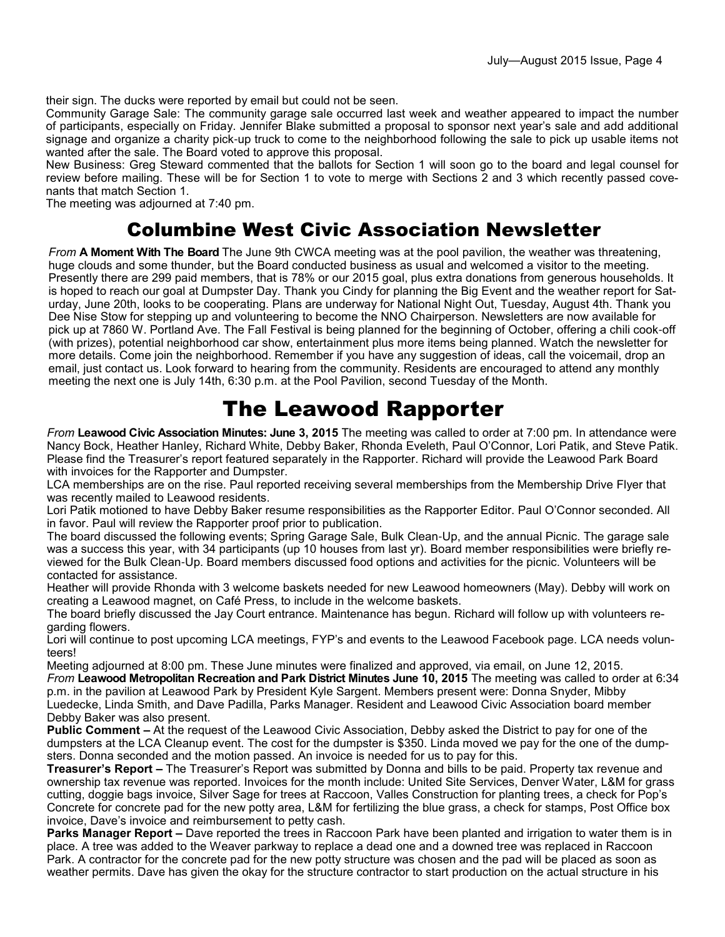their sign. The ducks were reported by email but could not be seen.

Community Garage Sale: The community garage sale occurred last week and weather appeared to impact the number of participants, especially on Friday. Jennifer Blake submitted a proposal to sponsor next year's sale and add additional signage and organize a charity pick-up truck to come to the neighborhood following the sale to pick up usable items not wanted after the sale. The Board voted to approve this proposal.

New Business: Greg Steward commented that the ballots for Section 1 will soon go to the board and legal counsel for review before mailing. These will be for Section 1 to vote to merge with Sections 2 and 3 which recently passed covenants that match Section 1.

The meeting was adjourned at 7:40 pm.

### Columbine West Civic Association Newsletter

*From* **A Moment With The Board** The June 9th CWCA meeting was at the pool pavilion, the weather was threatening, huge clouds and some thunder, but the Board conducted business as usual and welcomed a visitor to the meeting. Presently there are 299 paid members, that is 78% or our 2015 goal, plus extra donations from generous households. It is hoped to reach our goal at Dumpster Day. Thank you Cindy for planning the Big Event and the weather report for Saturday, June 20th, looks to be cooperating. Plans are underway for National Night Out, Tuesday, August 4th. Thank you Dee Nise Stow for stepping up and volunteering to become the NNO Chairperson. Newsletters are now available for pick up at 7860 W. Portland Ave. The Fall Festival is being planned for the beginning of October, offering a chili cook-off (with prizes), potential neighborhood car show, entertainment plus more items being planned. Watch the newsletter for more details. Come join the neighborhood. Remember if you have any suggestion of ideas, call the voicemail, drop an email, just contact us. Look forward to hearing from the community. Residents are encouraged to attend any monthly meeting the next one is July 14th, 6:30 p.m. at the Pool Pavilion, second Tuesday of the Month.

## The Leawood Rapporter

*From* **Leawood Civic Association Minutes: June 3, 2015** The meeting was called to order at 7:00 pm. In attendance were Nancy Bock, Heather Hanley, Richard White, Debby Baker, Rhonda Eveleth, Paul O'Connor, Lori Patik, and Steve Patik. Please find the Treasurer's report featured separately in the Rapporter. Richard will provide the Leawood Park Board with invoices for the Rapporter and Dumpster.

LCA memberships are on the rise. Paul reported receiving several memberships from the Membership Drive Flyer that was recently mailed to Leawood residents.

Lori Patik motioned to have Debby Baker resume responsibilities as the Rapporter Editor. Paul O'Connor seconded. All in favor. Paul will review the Rapporter proof prior to publication.

The board discussed the following events; Spring Garage Sale, Bulk Clean-Up, and the annual Picnic. The garage sale was a success this year, with 34 participants (up 10 houses from last yr). Board member responsibilities were briefly reviewed for the Bulk Clean-Up. Board members discussed food options and activities for the picnic. Volunteers will be contacted for assistance.

Heather will provide Rhonda with 3 welcome baskets needed for new Leawood homeowners (May). Debby will work on creating a Leawood magnet, on Café Press, to include in the welcome baskets.

The board briefly discussed the Jay Court entrance. Maintenance has begun. Richard will follow up with volunteers regarding flowers.

Lori will continue to post upcoming LCA meetings, FYP's and events to the Leawood Facebook page. LCA needs volunteers!

Meeting adjourned at 8:00 pm. These June minutes were finalized and approved, via email, on June 12, 2015. *From* **Leawood Metropolitan Recreation and Park District Minutes June 10, 2015** The meeting was called to order at 6:34 p.m. in the pavilion at Leawood Park by President Kyle Sargent. Members present were: Donna Snyder, Mibby Luedecke, Linda Smith, and Dave Padilla, Parks Manager. Resident and Leawood Civic Association board member Debby Baker was also present.

**Public Comment –** At the request of the Leawood Civic Association, Debby asked the District to pay for one of the dumpsters at the LCA Cleanup event. The cost for the dumpster is \$350. Linda moved we pay for the one of the dumpsters. Donna seconded and the motion passed. An invoice is needed for us to pay for this.

**Treasurer's Report –** The Treasurer's Report was submitted by Donna and bills to be paid. Property tax revenue and ownership tax revenue was reported. Invoices for the month include: United Site Services, Denver Water, L&M for grass cutting, doggie bags invoice, Silver Sage for trees at Raccoon, Valles Construction for planting trees, a check for Pop's Concrete for concrete pad for the new potty area, L&M for fertilizing the blue grass, a check for stamps, Post Office box invoice, Dave's invoice and reimbursement to petty cash.

**Parks Manager Report** – Dave reported the trees in Raccoon Park have been planted and irrigation to water them is in place. A tree was added to the Weaver parkway to replace a dead one and a downed tree was replaced in Raccoon Park. A contractor for the concrete pad for the new potty structure was chosen and the pad will be placed as soon as weather permits. Dave has given the okay for the structure contractor to start production on the actual structure in his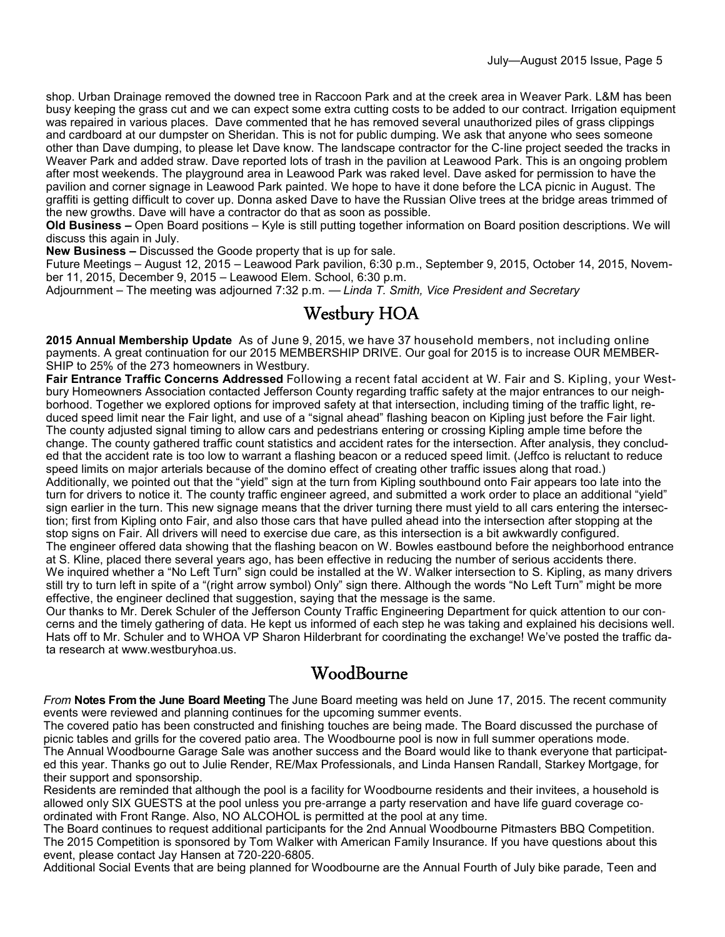shop. Urban Drainage removed the downed tree in Raccoon Park and at the creek area in Weaver Park. L&M has been busy keeping the grass cut and we can expect some extra cutting costs to be added to our contract. Irrigation equipment was repaired in various places. Dave commented that he has removed several unauthorized piles of grass clippings and cardboard at our dumpster on Sheridan. This is not for public dumping. We ask that anyone who sees someone other than Dave dumping, to please let Dave know. The landscape contractor for the C-line project seeded the tracks in Weaver Park and added straw. Dave reported lots of trash in the pavilion at Leawood Park. This is an ongoing problem after most weekends. The playground area in Leawood Park was raked level. Dave asked for permission to have the pavilion and corner signage in Leawood Park painted. We hope to have it done before the LCA picnic in August. The graffiti is getting difficult to cover up. Donna asked Dave to have the Russian Olive trees at the bridge areas trimmed of the new growths. Dave will have a contractor do that as soon as possible.

**Old Business –** Open Board positions – Kyle is still putting together information on Board position descriptions. We will discuss this again in July.

**New Business –** Discussed the Goode property that is up for sale.

Future Meetings – August 12, 2015 – Leawood Park pavilion, 6:30 p.m., September 9, 2015, October 14, 2015, November 11, 2015, December 9, 2015 – Leawood Elem. School, 6:30 p.m.

Adjournment – The meeting was adjourned 7:32 p.m. — *Linda T. Smith, Vice President and Secretary*

#### Westbury HOA

**2015 Annual Membership Update** As of June 9, 2015, we have 37 household members, not including online payments. A great continuation for our 2015 MEMBERSHIP DRIVE. Our goal for 2015 is to increase OUR MEMBER-SHIP to 25% of the 273 homeowners in Westbury.

**Fair Entrance Traffic Concerns Addressed** Following a recent fatal accident at W. Fair and S. Kipling, your Westbury Homeowners Association contacted Jefferson County regarding traffic safety at the major entrances to our neighborhood. Together we explored options for improved safety at that intersection, including timing of the traffic light, reduced speed limit near the Fair light, and use of a "signal ahead" flashing beacon on Kipling just before the Fair light. The county adjusted signal timing to allow cars and pedestrians entering or crossing Kipling ample time before the change. The county gathered traffic count statistics and accident rates for the intersection. After analysis, they concluded that the accident rate is too low to warrant a flashing beacon or a reduced speed limit. (Jeffco is reluctant to reduce speed limits on major arterials because of the domino effect of creating other traffic issues along that road.) Additionally, we pointed out that the "yield" sign at the turn from Kipling southbound onto Fair appears too late into the turn for drivers to notice it. The county traffic engineer agreed, and submitted a work order to place an additional "yield" sign earlier in the turn. This new signage means that the driver turning there must yield to all cars entering the intersection; first from Kipling onto Fair, and also those cars that have pulled ahead into the intersection after stopping at the stop signs on Fair. All drivers will need to exercise due care, as this intersection is a bit awkwardly configured. The engineer offered data showing that the flashing beacon on W. Bowles eastbound before the neighborhood entrance at S. Kline, placed there several years ago, has been effective in reducing the number of serious accidents there. We inquired whether a "No Left Turn" sign could be installed at the W. Walker intersection to S. Kipling, as many drivers still try to turn left in spite of a "(right arrow symbol) Only" sign there. Although the words "No Left Turn" might be more effective, the engineer declined that suggestion, saying that the message is the same.

Our thanks to Mr. Derek Schuler of the Jefferson County Traffic Engineering Department for quick attention to our concerns and the timely gathering of data. He kept us informed of each step he was taking and explained his decisions well. Hats off to Mr. Schuler and to WHOA VP Sharon Hilderbrant for coordinating the exchange! We've posted the traffic data research at www.westburyhoa.us.

### WoodBourne

*From* **Notes From the June Board Meeting** The June Board meeting was held on June 17, 2015. The recent community events were reviewed and planning continues for the upcoming summer events.

The covered patio has been constructed and finishing touches are being made. The Board discussed the purchase of picnic tables and grills for the covered patio area. The Woodbourne pool is now in full summer operations mode. The Annual Woodbourne Garage Sale was another success and the Board would like to thank everyone that participated this year. Thanks go out to Julie Render, RE/Max Professionals, and Linda Hansen Randall, Starkey Mortgage, for their support and sponsorship.

Residents are reminded that although the pool is a facility for Woodbourne residents and their invitees, a household is allowed only SIX GUESTS at the pool unless you pre-arrange a party reservation and have life guard coverage coordinated with Front Range. Also, NO ALCOHOL is permitted at the pool at any time.

The Board continues to request additional participants for the 2nd Annual Woodbourne Pitmasters BBQ Competition. The 2015 Competition is sponsored by Tom Walker with American Family Insurance. If you have questions about this event, please contact Jay Hansen at 720-220-6805.

Additional Social Events that are being planned for Woodbourne are the Annual Fourth of July bike parade, Teen and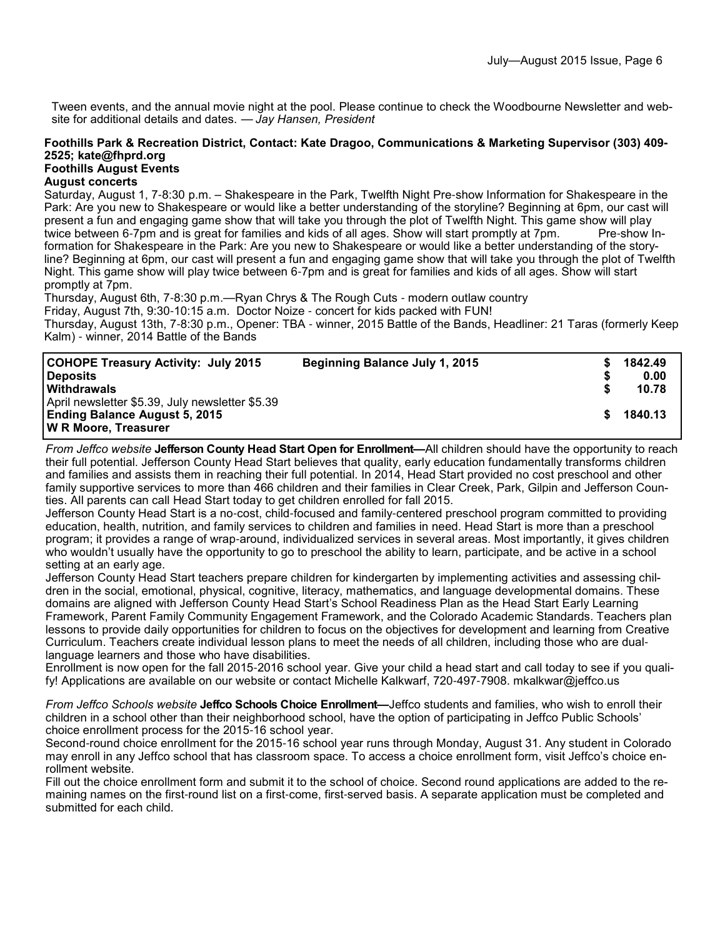Tween events, and the annual movie night at the pool. Please continue to check the Woodbourne Newsletter and website for additional details and dates. — *Jay Hansen, President*

#### **Foothills Park & Recreation District, Contact: Kate Dragoo, Communications & Marketing Supervisor (303) 409- 2525; kate@fhprd.org Foothills August Events**

#### **August concerts**

Saturday, August 1, 7-8:30 p.m. – Shakespeare in the Park, Twelfth Night Pre-show Information for Shakespeare in the Park: Are you new to Shakespeare or would like a better understanding of the storyline? Beginning at 6pm, our cast will present a fun and engaging game show that will take you through the plot of Twelfth Night. This game show will play twice between 6-7pm and is great for families and kids of all ages. Show will start promptly at 7pm. Pre-show Information for Shakespeare in the Park: Are you new to Shakespeare or would like a better understanding of the storyline? Beginning at 6pm, our cast will present a fun and engaging game show that will take you through the plot of Twelfth Night. This game show will play twice between 6-7pm and is great for families and kids of all ages. Show will start promptly at 7pm.

Thursday, August 6th, 7-8:30 p.m.—Ryan Chrys & The Rough Cuts - modern outlaw country

Friday, August 7th, 9:30-10:15 a.m. Doctor Noize - concert for kids packed with FUN!

Thursday, August 13th, 7-8:30 p.m., Opener: TBA - winner, 2015 Battle of the Bands, Headliner: 21 Taras (formerly Keep Kalm) - winner, 2014 Battle of the Bands

| <b>COHOPE Treasury Activity: July 2015</b><br><b>Deposits</b><br><b>Withdrawals</b> | <b>Beginning Balance July 1, 2015</b> |    | 1842.49<br>0.00<br>10.78 |
|-------------------------------------------------------------------------------------|---------------------------------------|----|--------------------------|
| April newsletter \$5.39, July newsletter \$5.39                                     |                                       |    |                          |
| <b>Ending Balance August 5, 2015</b>                                                |                                       | S. | 1840.13                  |
| W R Moore, Treasurer                                                                |                                       |    |                          |

*From Jeffco website* **Jefferson County Head Start Open for Enrollment—**All children should have the opportunity to reach their full potential. Jefferson County Head Start believes that quality, early education fundamentally transforms children and families and assists them in reaching their full potential. In 2014, Head Start provided no cost preschool and other family supportive services to more than 466 children and their families in Clear Creek, Park, Gilpin and Jefferson Counties. All parents can call Head Start today to get children enrolled for fall 2015.

Jefferson County Head Start is a no-cost, child-focused and family-centered preschool program committed to providing education, health, nutrition, and family services to children and families in need. Head Start is more than a preschool program; it provides a range of wrap-around, individualized services in several areas. Most importantly, it gives children who wouldn't usually have the opportunity to go to preschool the ability to learn, participate, and be active in a school setting at an early age.

Jefferson County Head Start teachers prepare children for kindergarten by implementing activities and assessing children in the social, emotional, physical, cognitive, literacy, mathematics, and language developmental domains. These domains are aligned with Jefferson County Head Start's School Readiness Plan as the Head Start Early Learning Framework, Parent Family Community Engagement Framework, and the Colorado Academic Standards. Teachers plan lessons to provide daily opportunities for children to focus on the objectives for development and learning from Creative Curriculum. Teachers create individual lesson plans to meet the needs of all children, including those who are duallanguage learners and those who have disabilities.

Enrollment is now open for the fall 2015-2016 school year. Give your child a head start and call today to see if you qualify! Applications are available on our website or contact Michelle Kalkwarf, 720-497-7908. mkalkwar@jeffco.us

*From Jeffco Schools website* **Jeffco Schools Choice Enrollment—**Jeffco students and families, who wish to enroll their children in a school other than their neighborhood school, have the option of participating in Jeffco Public Schools' choice enrollment process for the 2015-16 school year.

Second-round choice enrollment for the 2015-16 school year runs through Monday, August 31. Any student in Colorado may enroll in any Jeffco school that has classroom space. To access a choice enrollment form, visit Jeffco's choice enrollment website.

Fill out the choice enrollment form and submit it to the school of choice. Second round applications are added to the remaining names on the first-round list on a first-come, first-served basis. A separate application must be completed and submitted for each child.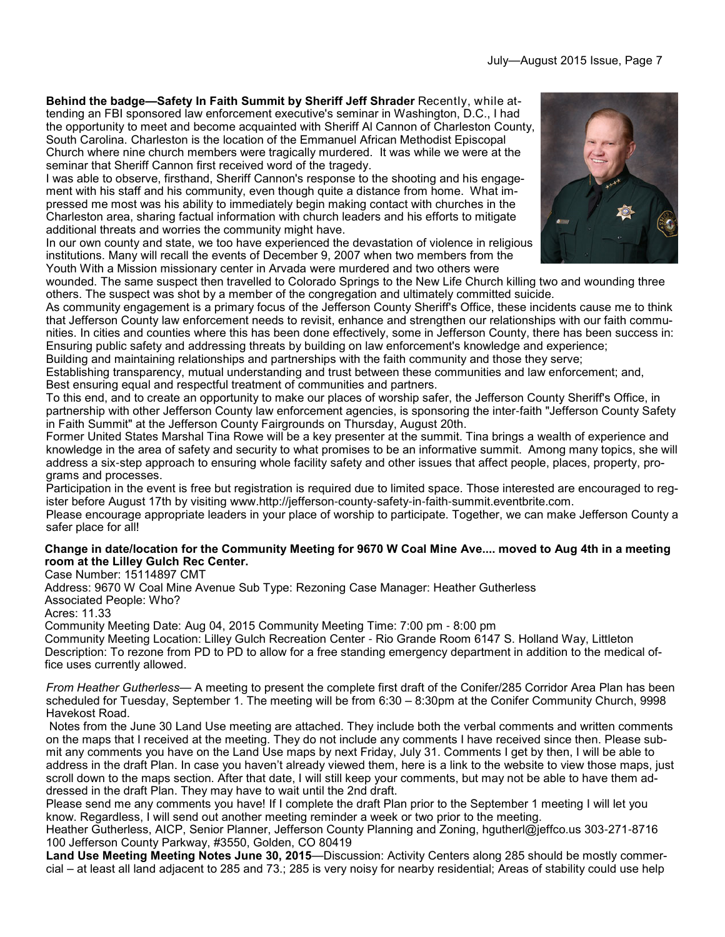**Behind the badge—Safety In Faith Summit by Sheriff Jeff Shrader** Recently, while attending an FBI sponsored law enforcement executive's seminar in Washington, D.C., I had the opportunity to meet and become acquainted with Sheriff Al Cannon of Charleston County, South Carolina. Charleston is the location of the Emmanuel African Methodist Episcopal Church where nine church members were tragically murdered. It was while we were at the seminar that Sheriff Cannon first received word of the tragedy.

I was able to observe, firsthand, Sheriff Cannon's response to the shooting and his engagement with his staff and his community, even though quite a distance from home. What impressed me most was his ability to immediately begin making contact with churches in the Charleston area, sharing factual information with church leaders and his efforts to mitigate additional threats and worries the community might have.

In our own county and state, we too have experienced the devastation of violence in religious institutions. Many will recall the events of December 9, 2007 when two members from the Youth With a Mission missionary center in Arvada were murdered and two others were



wounded. The same suspect then travelled to Colorado Springs to the New Life Church killing two and wounding three others. The suspect was shot by a member of the congregation and ultimately committed suicide.

As community engagement is a primary focus of the Jefferson County Sheriff's Office, these incidents cause me to think that Jefferson County law enforcement needs to revisit, enhance and strengthen our relationships with our faith communities. In cities and counties where this has been done effectively, some in Jefferson County, there has been success in: Ensuring public safety and addressing threats by building on law enforcement's knowledge and experience;

Building and maintaining relationships and partnerships with the faith community and those they serve;

Establishing transparency, mutual understanding and trust between these communities and law enforcement; and, Best ensuring equal and respectful treatment of communities and partners.

To this end, and to create an opportunity to make our places of worship safer, the Jefferson County Sheriff's Office, in partnership with other Jefferson County law enforcement agencies, is sponsoring the inter-faith "Jefferson County Safety in Faith Summit" at the Jefferson County Fairgrounds on Thursday, August 20th.

Former United States Marshal Tina Rowe will be a key presenter at the summit. Tina brings a wealth of experience and knowledge in the area of safety and security to what promises to be an informative summit. Among many topics, she will address a six-step approach to ensuring whole facility safety and other issues that affect people, places, property, programs and processes.

Participation in the event is free but registration is required due to limited space. Those interested are encouraged to register before August 17th by visiting www.http://jefferson-county-safety-in-faith-summit.eventbrite.com.

Please encourage appropriate leaders in your place of worship to participate. Together, we can make Jefferson County a safer place for all!

#### **Change in date/location for the Community Meeting for 9670 W Coal Mine Ave.... moved to Aug 4th in a meeting room at the Lilley Gulch Rec Center.**

Case Number: 15114897 CMT

Address: 9670 W Coal Mine Avenue Sub Type: Rezoning Case Manager: Heather Gutherless Associated People: Who?

Acres: 11.33

Community Meeting Date: Aug 04, 2015 Community Meeting Time: 7:00 pm - 8:00 pm

Community Meeting Location: Lilley Gulch Recreation Center - Rio Grande Room 6147 S. Holland Way, Littleton Description: To rezone from PD to PD to allow for a free standing emergency department in addition to the medical office uses currently allowed.

*From Heather Gutherless*— A meeting to present the complete first draft of the Conifer/285 Corridor Area Plan has been scheduled for Tuesday, September 1. The meeting will be from 6:30 – 8:30pm at the Conifer Community Church, 9998 Havekost Road.

Notes from the June 30 Land Use meeting are attached. They include both the verbal comments and written comments on the maps that I received at the meeting. They do not include any comments I have received since then. Please submit any comments you have on the Land Use maps by next Friday, July 31. Comments I get by then, I will be able to address in the draft Plan. In case you haven't already viewed them, here is a link to the website to view those maps, just scroll down to the maps section. After that date, I will still keep your comments, but may not be able to have them addressed in the draft Plan. They may have to wait until the 2nd draft.

Please send me any comments you have! If I complete the draft Plan prior to the September 1 meeting I will let you know. Regardless, I will send out another meeting reminder a week or two prior to the meeting.

Heather Gutherless, AICP, Senior Planner, Jefferson County Planning and Zoning, hgutherl@jeffco.us 303-271-8716 100 Jefferson County Parkway, #3550, Golden, CO 80419

**Land Use Meeting Meeting Notes June 30, 2015**—Discussion: Activity Centers along 285 should be mostly commercial – at least all land adjacent to 285 and 73.; 285 is very noisy for nearby residential; Areas of stability could use help